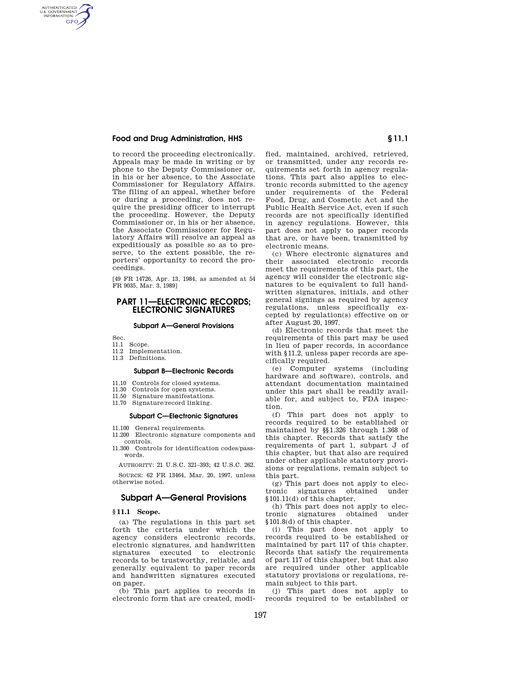## **Food and Drug Administration, HHS § 11.1**

to record the proceeding electronically. Appeals may be made in writing or by phone to the Deputy Commissioner or, in his or her absence, to the Associate Commissioner for Regulatory Affairs. The filing of an appeal, whether before or during a proceeding, does not require the presiding officer to interrupt the proceeding. However, the Deputy Commissioner or, in his or her absence, the Associate Commissioner for Regulatory Affairs will resolve an appeal as expeditiously as possible so as to preserve, to the extent possible, the reporters' opportunity to record the proceedings.

[49 FR 14726, Apr. 13, 1984, as amended at 54 FR 9035, Mar. 3, 1989]

# **PART 11—ELECTRONIC RECORDS; ELECTRONIC SIGNATURES**

#### **Subpart A—General Provisions**

Sec.

AUTHENTICATED<br>U.S. GOVERNMENT<br>INFORMATION **GPO** 

- 11.1 Scope.
- 11.2 Implementation.
- 11.3 Definitions.

### **Subpart B—Electronic Records**

- 11.10 Controls for closed systems.
- 11.30 Controls for open systems.<br>11.50 Signature manifestations
- Signature manifestations.
- 11.70 Signature/record linking.

## **Subpart C—Electronic Signatures**

- 11.100 General requirements.
- 11.200 Electronic signature components and controls.
- 11.300 Controls for identification codes/passwords.

AUTHORITY: 21 U.S.C. 321–393; 42 U.S.C. 262.

SOURCE: 62 FR 13464, Mar. 20, 1997, unless otherwise noted.

# **Subpart A—General Provisions**

#### **§ 11.1 Scope.**

(a) The regulations in this part set forth the criteria under which the agency considers electronic records, electronic signatures, and handwritten signatures executed to electronic records to be trustworthy, reliable, and generally equivalent to paper records and handwritten signatures executed on paper.

(b) This part applies to records in electronic form that are created, modified, maintained, archived, retrieved, or transmitted, under any records requirements set forth in agency regulations. This part also applies to electronic records submitted to the agency under requirements of the Federal Food, Drug, and Cosmetic Act and the Public Health Service Act, even if such records are not specifically identified in agency regulations. However, this part does not apply to paper records that are, or have been, transmitted by electronic means.

(c) Where electronic signatures and their associated electronic records meet the requirements of this part, the agency will consider the electronic signatures to be equivalent to full handwritten signatures, initials, and other general signings as required by agency regulations, unless specifically excepted by regulation(s) effective on or after August 20, 1997.

(d) Electronic records that meet the requirements of this part may be used in lieu of paper records, in accordance with §11.2, unless paper records are specifically required.

(e) Computer systems (including hardware and software), controls, and attendant documentation maintained under this part shall be readily available for, and subject to, FDA inspection.

(f) This part does not apply to records required to be established or maintained by §§1.326 through 1.368 of this chapter. Records that satisfy the requirements of part 1, subpart J of this chapter, but that also are required under other applicable statutory provisions or regulations, remain subject to this part.

(g) This part does not apply to electronic signatures obtained under §101.11(d) of this chapter.

(h) This part does not apply to election<br>onic signatures obtained under tronic signatures obtained under §101.8(d) of this chapter.

(i) This part does not apply to records required to be established or maintained by part 117 of this chapter. Records that satisfy the requirements of part 117 of this chapter, but that also are required under other applicable statutory provisions or regulations, remain subject to this part.

(j) This part does not apply to records required to be established or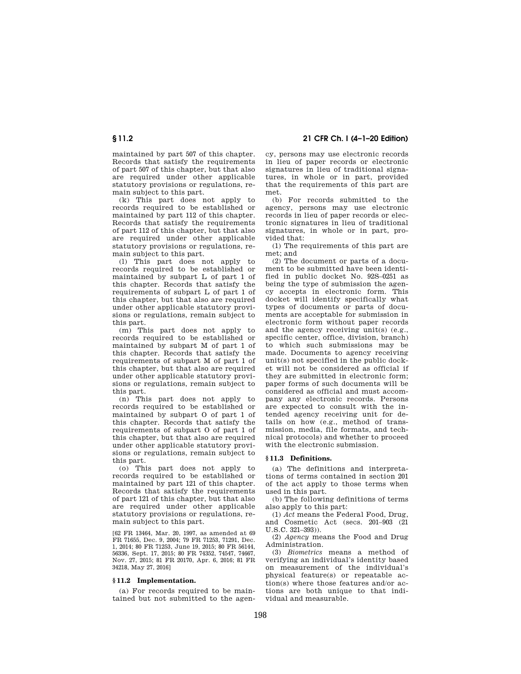# **§ 11.2 21 CFR Ch. I (4–1–20 Edition)**

maintained by part 507 of this chapter. Records that satisfy the requirements of part 507 of this chapter, but that also are required under other applicable statutory provisions or regulations, remain subject to this part.

(k) This part does not apply to records required to be established or maintained by part 112 of this chapter. Records that satisfy the requirements of part 112 of this chapter, but that also are required under other applicable statutory provisions or regulations, remain subject to this part.

(l) This part does not apply to records required to be established or maintained by subpart L of part 1 of this chapter. Records that satisfy the requirements of subpart L of part 1 of this chapter, but that also are required under other applicable statutory provisions or regulations, remain subject to this part.

(m) This part does not apply to records required to be established or maintained by subpart M of part 1 of this chapter. Records that satisfy the requirements of subpart M of part 1 of this chapter, but that also are required under other applicable statutory provisions or regulations, remain subject to this part.

(n) This part does not apply to records required to be established or maintained by subpart O of part 1 of this chapter. Records that satisfy the requirements of subpart O of part 1 of this chapter, but that also are required under other applicable statutory provisions or regulations, remain subject to this part.

(o) This part does not apply to records required to be established or maintained by part 121 of this chapter. Records that satisfy the requirements of part 121 of this chapter, but that also are required under other applicable statutory provisions or regulations, remain subject to this part.

[62 FR 13464, Mar. 20, 1997, as amended at 69 FR 71655, Dec. 9, 2004; 79 FR 71253, 71291, Dec. 1, 2014; 80 FR 71253, June 19, 2015; 80 FR 56144, 56336, Sept. 17, 2015; 80 FR 74352, 74547, 74667, Nov. 27, 2015; 81 FR 20170, Apr. 6, 2016; 81 FR 34218, May 27, 2016]

#### **§ 11.2 Implementation.**

(a) For records required to be maintained but not submitted to the agen-

cy, persons may use electronic records in lieu of paper records or electronic signatures in lieu of traditional signatures, in whole or in part, provided that the requirements of this part are met.

(b) For records submitted to the agency, persons may use electronic records in lieu of paper records or electronic signatures in lieu of traditional signatures, in whole or in part, provided that:

(1) The requirements of this part are met; and

(2) The document or parts of a document to be submitted have been identified in public docket No. 92S–0251 as being the type of submission the agency accepts in electronic form. This docket will identify specifically what types of documents or parts of documents are acceptable for submission in electronic form without paper records and the agency receiving unit(s) (e.g., specific center, office, division, branch) to which such submissions may be made. Documents to agency receiving unit(s) not specified in the public docket will not be considered as official if they are submitted in electronic form; paper forms of such documents will be considered as official and must accompany any electronic records. Persons are expected to consult with the intended agency receiving unit for details on how (e.g., method of transmission, media, file formats, and technical protocols) and whether to proceed with the electronic submission.

## **§ 11.3 Definitions.**

(a) The definitions and interpretations of terms contained in section 201 of the act apply to those terms when used in this part.

(b) The following definitions of terms also apply to this part:

(1) *Act* means the Federal Food, Drug, and Cosmetic Act (secs. 201–903 (21 U.S.C. 321–393)).

(2) *Agency* means the Food and Drug Administration.

(3) *Biometrics* means a method of verifying an individual's identity based on measurement of the individual's physical feature(s) or repeatable action(s) where those features and/or actions are both unique to that individual and measurable.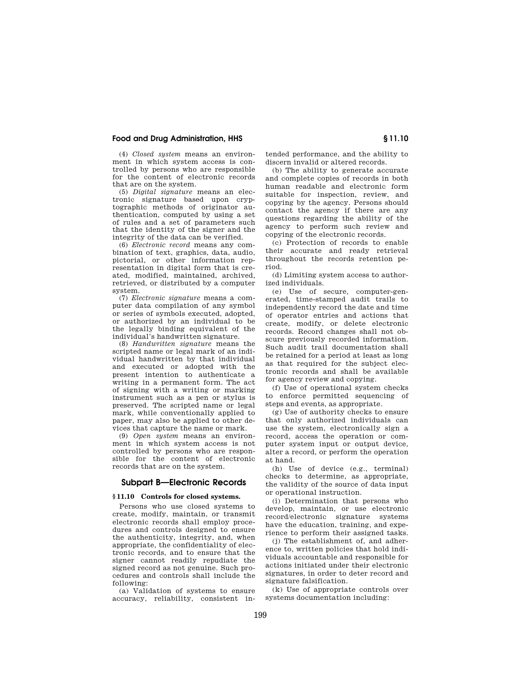## **Food and Drug Administration, HHS § 11.10**

(4) *Closed system* means an environment in which system access is controlled by persons who are responsible for the content of electronic records that are on the system.

(5) *Digital signature* means an electronic signature based upon cryptographic methods of originator authentication, computed by using a set of rules and a set of parameters such that the identity of the signer and the integrity of the data can be verified.

(6) *Electronic record* means any combination of text, graphics, data, audio, pictorial, or other information representation in digital form that is created, modified, maintained, archived, retrieved, or distributed by a computer system.

(7) *Electronic signature* means a computer data compilation of any symbol or series of symbols executed, adopted, or authorized by an individual to be the legally binding equivalent of the individual's handwritten signature.

(8) *Handwritten signature* means the scripted name or legal mark of an individual handwritten by that individual and executed or adopted with the present intention to authenticate a writing in a permanent form. The act of signing with a writing or marking instrument such as a pen or stylus is preserved. The scripted name or legal mark, while conventionally applied to paper, may also be applied to other devices that capture the name or mark.

(9) *Open system* means an environment in which system access is not controlled by persons who are responsible for the content of electronic records that are on the system.

## **Subpart B—Electronic Records**

## **§ 11.10 Controls for closed systems.**

Persons who use closed systems to create, modify, maintain, or transmit electronic records shall employ procedures and controls designed to ensure the authenticity, integrity, and, when appropriate, the confidentiality of electronic records, and to ensure that the signer cannot readily repudiate the signed record as not genuine. Such procedures and controls shall include the following:

(a) Validation of systems to ensure accuracy, reliability, consistent intended performance, and the ability to discern invalid or altered records.

(b) The ability to generate accurate and complete copies of records in both human readable and electronic form suitable for inspection, review, and copying by the agency. Persons should contact the agency if there are any questions regarding the ability of the agency to perform such review and copying of the electronic records.

(c) Protection of records to enable their accurate and ready retrieval throughout the records retention period.

(d) Limiting system access to authorized individuals.

(e) Use of secure, computer-generated, time-stamped audit trails to independently record the date and time of operator entries and actions that create, modify, or delete electronic records. Record changes shall not obscure previously recorded information. Such audit trail documentation shall be retained for a period at least as long as that required for the subject electronic records and shall be available for agency review and copying.

(f) Use of operational system checks to enforce permitted sequencing of steps and events, as appropriate.

(g) Use of authority checks to ensure that only authorized individuals can use the system, electronically sign a record, access the operation or computer system input or output device, alter a record, or perform the operation at hand.

(h) Use of device (e.g., terminal) checks to determine, as appropriate, the validity of the source of data input or operational instruction.

(i) Determination that persons who develop, maintain, or use electronic record/electronic signature systems have the education, training, and experience to perform their assigned tasks.

(j) The establishment of, and adherence to, written policies that hold individuals accountable and responsible for actions initiated under their electronic signatures, in order to deter record and signature falsification.

(k) Use of appropriate controls over systems documentation including: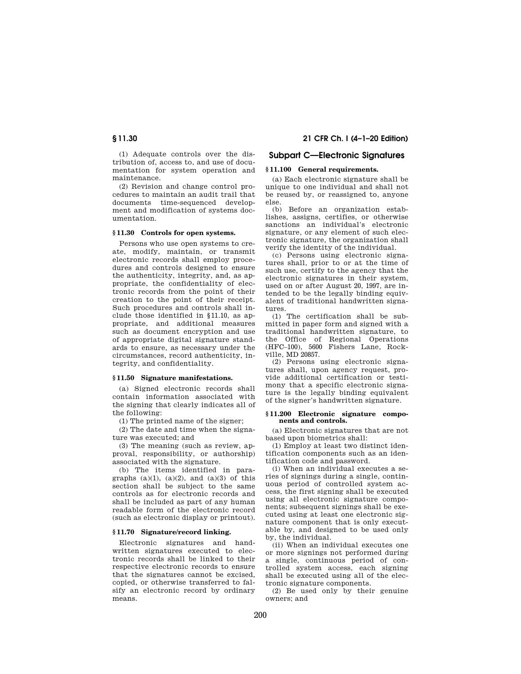(1) Adequate controls over the distribution of, access to, and use of documentation for system operation and maintenance.

(2) Revision and change control procedures to maintain an audit trail that documents time-sequenced development and modification of systems documentation.

## **§ 11.30 Controls for open systems.**

Persons who use open systems to create, modify, maintain, or transmit electronic records shall employ procedures and controls designed to ensure the authenticity, integrity, and, as appropriate, the confidentiality of electronic records from the point of their creation to the point of their receipt. Such procedures and controls shall include those identified in §11.10, as appropriate, and additional measures such as document encryption and use of appropriate digital signature standards to ensure, as necessary under the circumstances, record authenticity, integrity, and confidentiality.

## **§ 11.50 Signature manifestations.**

(a) Signed electronic records shall contain information associated with the signing that clearly indicates all of the following:

(1) The printed name of the signer;

(2) The date and time when the signature was executed; and

(3) The meaning (such as review, approval, responsibility, or authorship) associated with the signature.

(b) The items identified in paragraphs  $(a)(1)$ ,  $(a)(2)$ , and  $(a)(3)$  of this section shall be subject to the same controls as for electronic records and shall be included as part of any human readable form of the electronic record (such as electronic display or printout).

## **§ 11.70 Signature/record linking.**

Electronic signatures and handwritten signatures executed to electronic records shall be linked to their respective electronic records to ensure that the signatures cannot be excised, copied, or otherwise transferred to falsify an electronic record by ordinary means.

# **§ 11.30 21 CFR Ch. I (4–1–20 Edition)**

# **Subpart C—Electronic Signatures**

# **§ 11.100 General requirements.**

(a) Each electronic signature shall be unique to one individual and shall not be reused by, or reassigned to, anyone else.

(b) Before an organization establishes, assigns, certifies, or otherwise sanctions an individual's electronic signature, or any element of such electronic signature, the organization shall verify the identity of the individual.

(c) Persons using electronic signatures shall, prior to or at the time of such use, certify to the agency that the electronic signatures in their system, used on or after August 20, 1997, are intended to be the legally binding equivalent of traditional handwritten signatures.

(1) The certification shall be submitted in paper form and signed with a traditional handwritten signature, to the Office of Regional Operations (HFC–100), 5600 Fishers Lane, Rockville, MD 20857.

(2) Persons using electronic signatures shall, upon agency request, provide additional certification or testimony that a specific electronic signature is the legally binding equivalent of the signer's handwritten signature.

#### **§ 11.200 Electronic signature components and controls.**

(a) Electronic signatures that are not based upon biometrics shall:

(1) Employ at least two distinct identification components such as an identification code and password.

(i) When an individual executes a series of signings during a single, continuous period of controlled system access, the first signing shall be executed using all electronic signature components; subsequent signings shall be executed using at least one electronic signature component that is only executable by, and designed to be used only by, the individual.

(ii) When an individual executes one or more signings not performed during a single, continuous period of controlled system access, each signing shall be executed using all of the electronic signature components.

(2) Be used only by their genuine owners; and